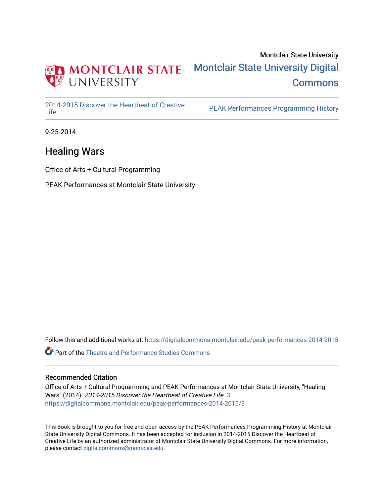

## Montclair State University [Montclair State University Digital](https://digitalcommons.montclair.edu/)  **Commons**

[2014-2015 Discover the Heartbeat of Creative](https://digitalcommons.montclair.edu/peak-performances-2014-2015) 

PEAK Performances Programming History

9-25-2014

## Healing Wars

Office of Arts + Cultural Programming

PEAK Performances at Montclair State University

Follow this and additional works at: [https://digitalcommons.montclair.edu/peak-performances-2014-2015](https://digitalcommons.montclair.edu/peak-performances-2014-2015?utm_source=digitalcommons.montclair.edu%2Fpeak-performances-2014-2015%2F3&utm_medium=PDF&utm_campaign=PDFCoverPages) 

Part of the [Theatre and Performance Studies Commons](http://network.bepress.com/hgg/discipline/552?utm_source=digitalcommons.montclair.edu%2Fpeak-performances-2014-2015%2F3&utm_medium=PDF&utm_campaign=PDFCoverPages) 

#### Recommended Citation

Office of Arts + Cultural Programming and PEAK Performances at Montclair State University, "Healing Wars" (2014). 2014-2015 Discover the Heartbeat of Creative Life. 3. [https://digitalcommons.montclair.edu/peak-performances-2014-2015/3](https://digitalcommons.montclair.edu/peak-performances-2014-2015/3?utm_source=digitalcommons.montclair.edu%2Fpeak-performances-2014-2015%2F3&utm_medium=PDF&utm_campaign=PDFCoverPages) 

This Book is brought to you for free and open access by the PEAK Performances Programming History at Montclair State University Digital Commons. It has been accepted for inclusion in 2014-2015 Discover the Heartbeat of Creative Life by an authorized administrator of Montclair State University Digital Commons. For more information, please contact [digitalcommons@montclair.edu.](mailto:digitalcommons@montclair.edu)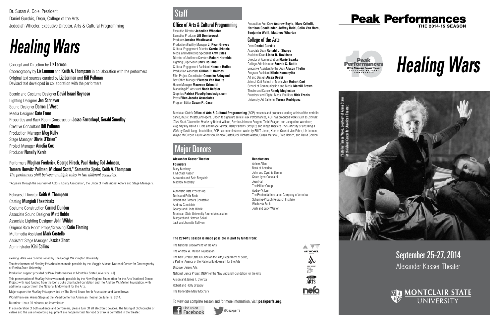# September 25-27, 2014 Alexander Kasser Theater



# *Healing Wars*



### Office of Arts & Cultural Programming

Executive Director **Jedediah Wheeler** Executive Producer **Jill Dombrowski** Producer **Jessica Wasilewski** Production/Facility Manager **J. Ryan Graves** Cultural Engagement Director **Carrie Urbanic** Media and Marketing Specialist **Amy Estes** Director of Audience Services **Robert Hermida** Lighting Supervisor **Chris Holland** Cultural Engagement Assistant **Hannah Rolfes**  Production Associate **Gillian P. Holmes**  Film Project Coordinator **Omonike Akinyemi** Box Office Manager **Pierson Van Raalte** House Manager **Maureen Grimaldi** Marketing/PR Assistant **Noah Befeler** Graphics **Patrick Flood/pfloodesign.com** Press **Ellen Jacobs Associates** Program Editor **Susan R. Case**

Montclair State's **Office of Arts & Cultural Programming** (ACP) presents and produces leading artists of the world in dance, music, theater, and opera. Under its signature series Peak Performances, ACP has produced works such as *Zinnias: The Life of Clementine Hunter* by Robert Wilson, Bernice Johnson Reagon, Toshi Reagon, and Jacqueline Woodson;

*Dog Days* by David T. Little and Royce Vavrek; Harry Partch's *Oedipus*; and Ridge Theater's *The Difficulty of Crossing a Field* by David Lang. In addition, ACP has commissioned works by Bill T. Jones, Kronos Quartet, Jan Fabre, Liz Lerman, Wayne McGregor, Laurie Anderson, Romeo Castellucci, Richard Alston, Susan Marshall, Fred Hersch, and David Gordon.

Concept and Direction by Liz Lerman Choreography by Liz Lerman and Keith A. Thompson in collaboration with the performers Original text sources curated by Liz Lerman and Bill Pullman Devised text developed in collaboration with the performers

@peakperfs







å *"* **ART WORKS.** 

**ERSEY**<br>**ARTS** 

**nelo** 

## **Peak Performances THE 2014-15 SEASON**



Scenic and Costume Designer David Israel Reynoso Lighting Designer Jen Schriever Sound Designer Darron L West Media Designer Kate Freer Properties and Back Room Construction Jesse Farrenkopf, Gerald Smedley Creative Consultant Bill Pullman Production Manager Meg Kelly Stage Manager **Olivia O'Brien\*** Project Manager **Amelia Cox** Producer Nunally Kersh

#### **Alexander Kasser Theater**

**Founders** Mary Mochary I. Michael Kasser Alexandra and Seth Bergstein Matthew Mochary \_\_\_\_\_\_\_\_\_\_\_\_\_\_\_\_\_\_\_\_\_\_\_\_

Automatic Data Processing Doris and Felix Beck Robert and Barbara Constable Andrew Constable George and Linda Hiltzik Montclair State University Alumni Association Margaret and Herman Sokol Jack and Jeanette Sullivan

### **Benefactors**

Arlene Allen Bank of America John and Cynthia Barnes Grace Lyon Concialdi Jean Hall The Hillier Group Audrey V. Leef The Prudential Insurance Company of America Schering-Plough Research Institute Wachovia Bank Josh and Judy Weston

# Major Donors

Photo by Teresa Wood, courtesy of Arena Stage Photo by Teresa Wood, courtesy of Arena Stage<br>at the Mead Center for American Theater. at the Mead Center for American Theater.

Dr. Susan A. Cole, President Daniel Gurskis, Dean, College of the Arts Jedediah Wheeler, Executive Director, Arts & Cultural Programming

# *Healing Wars*

#### Performers Meghan Frederick, George Hirsch, Paul Hurley, Ted Johnson, Tamara Hurwitz Pullman, Michael Scott,\* Samantha Speis, Keith A. Thompson *The performers shift between multiple roles in two different centuries.*

\*Appears through the courtesy of Actors' Equity Association, the Union of Professional Actors and Stage Managers.

Rehearsal Director Keith A. Thompson Casting Mungioli Theatricals Costume Construction Carmel Dundon Associate Sound Designer Matt Hubbs Associate Lighting Designer John Wilder Original Back Room Props/Dressing Katie Fleming Multimedia Assistant Mark Costello Assistant Stage Manager Jessica Short Administrator Kini Collins

*Healing Wars* was commissioned by The George Washington University.

The development of *Healing Wars* has been made possible by the Maggie Allesee National Center for Choreography at Florida State University.

Production support provided by Peak Performances at Montclair State University (NJ).

This presentation of *Healing Wars* was made possible by the New England Foundation for the Arts' National Dance Project with lead funding from the Doris Duke Charitable Foundation and The Andrew W. Mellon Foundation, with additional support from the National Endowment for the Arts.

Major support for *Healing Wars* provided by The David Bruce Smith Foundation and Jane Brown.

World Premiere: Arena Stage at the Mead Center for American Theater on June 12, 2014.

Duration: 1 hour 35 minutes, no intermission.

In consideration of both audience and performers, please turn off all electronic devices. The taking of photographs or videos and the use of recording equipment are not permitted. No food or drink is permitted in the theater.

**Staff** 

#### **The 2014/15 season is made possible in part by funds from:**

The National Endowment for the Arts The Andrew W. Mellon Foundation The New Jersey State Council on the Arts/Department of State, a Partner Agency of the National Endowment for the Arts Discover Jersey Arts National Dance Project (NDP) of the New England Foundation for the Arts Alison and James T. Cirenza Robert and Holly Gregory The Honorable Mary Mochary

To view our complete season and for more information, visit **peakperfs.org**.



Production Run Crew **Andrew Boyle, Marc Critelli, Harrison Goodbinder, Jeffrey Reid, Colin Van Horn, Benjamin Weill, Matthew Wharton**

## College of the Arts

Dean **Daniel Gurskis** Associate Dean **Ronald L. Sharps** Assistant Dean **Linda D. Davidson** Director of Administration **Marie Sparks** College Administrator **Zacrah S. Battle** Executive Assistant to the Dean **Alyson Thelin** Program Assistant **Kilolo Kumanyika** Art and Design **Aissa Deebi** John J. Cali School of Music **Jon Robert Cart** School of Communication and Media **Merrill Brown** Theatre and Dance **Randy Mugleston** Broadcast and Digital Media Facilities **Nick Tzanis** University Art Galleries **Teresa Rodriguez**

@ The Alexander Kasser Theater